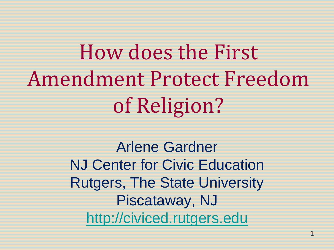How does the First Amendment Protect Freedom of Religion?

> Arlene Gardner NJ Center for Civic Education Rutgers, The State University Piscataway, NJ [http://civiced.rutgers.edu](http://civiced.rutgers.edu/)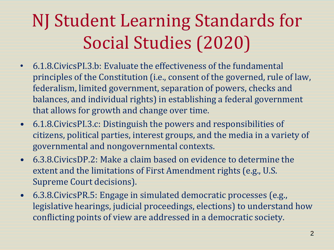#### NJ Student Learning Standards for Social Studies (2020)

- 6.1.8.CivicsPI.3.b: Evaluate the effectiveness of the fundamental principles of the Constitution (i.e., consent of the governed, rule of law, federalism, limited government, separation of powers, checks and balances, and individual rights) in establishing a federal government that allows for growth and change over time.
- 6.1.8.CivicsPI.3.c: Distinguish the powers and responsibilities of citizens, political parties, interest groups, and the media in a variety of governmental and nongovernmental contexts.
- 6.3.8.CivicsDP.2: Make a claim based on evidence to determine the extent and the limitations of First Amendment rights (e.g., U.S. Supreme Court decisions).
- 6.3.8.CivicsPR.5: Engage in simulated democratic processes (e.g., legislative hearings, judicial proceedings, elections) to understand how conflicting points of view are addressed in a democratic society.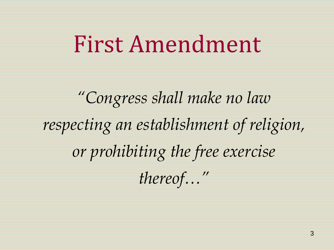## First Amendment

*"Congress shall make no law respecting an establishment of religion, or prohibiting the free exercise thereof…"*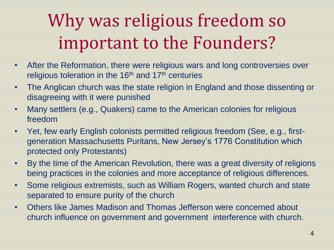#### Why was religious freedom so important to the Founders?

- After the Reformation, there were religious wars and long controversies over religious toleration in the 16<sup>th</sup> and 17<sup>th</sup> centuries
- The Anglican church was the state religion in England and those dissenting or disagreeing with it were punished
- Many settlers (e.g., Quakers) came to the American colonies for religious freedom
- Yet, few early English colonists permitted religious freedom (See, e.g., firstgeneration Massachusetts Puritans, New Jersey's 1776 Constitution which protected only Protestants)
- By the time of the American Revolution, there was a great diversity of religions being practices in the colonies and more acceptance of religious differences.
- Some religious extremists, such as William Rogers, wanted church and state separated to ensure purity of the church
- Others like James Madison and Thomas Jefferson were concerned about church influence on government and government interference with church.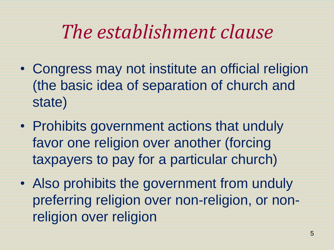#### *The establishment clause*

- Congress may not institute an official religion (the basic idea of separation of church and state)
- Prohibits government actions that unduly favor one religion over another (forcing taxpayers to pay for a particular church)
- Also prohibits the government from unduly preferring religion over non-religion, or nonreligion over religion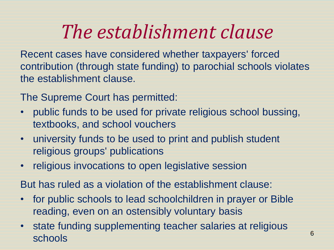### *The establishment clause*

Recent cases have considered whether taxpayers' forced contribution (through state funding) to parochial schools violates the establishment clause.

The Supreme Court has permitted:

- public funds to be used for private religious school bussing, textbooks, and school vouchers
- university funds to be used to print and publish student religious groups' publications
- religious invocations to open legislative session

But has ruled as a violation of the establishment clause:

- for public schools to lead schoolchildren in prayer or Bible reading, even on an ostensibly voluntary basis
- state funding supplementing teacher salaries at religious schools 6<br>schools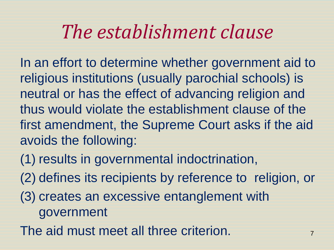#### *The establishment clause*

In an effort to determine whether government aid to religious institutions (usually parochial schools) is neutral or has the effect of advancing religion and thus would violate the establishment clause of the first amendment, the Supreme Court asks if the aid avoids the following:

- (1) results in governmental indoctrination,
- (2) defines its recipients by reference to religion, or
- (3) creates an excessive entanglement with government
- The aid must meet all three criterion.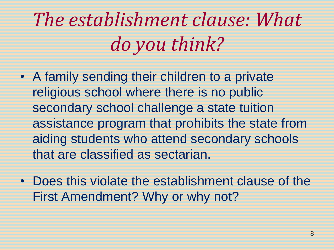*The establishment clause: What do you think?*

- A family sending their children to a private religious school where there is no public secondary school challenge a state tuition assistance program that prohibits the state from aiding students who attend secondary schools that are classified as sectarian.
- Does this violate the establishment clause of the First Amendment? Why or why not?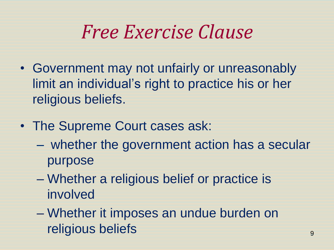#### *Free Exercise Clause*

- Government may not unfairly or unreasonably limit an individual's right to practice his or her religious beliefs.
- The Supreme Court cases ask:
	- whether the government action has a secular purpose
	- Whether a religious belief or practice is involved
	- Whether it imposes an undue burden on religious beliefs and the set of the set of the set of the set of the set of the set of the set of the set of the set of the set of the set of the set of the set of the set of the set of the set of the set of the set of th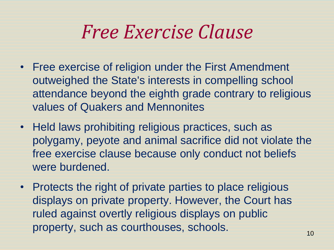#### *Free Exercise Clause*

- Free exercise of religion under the First Amendment outweighed the State's interests in compelling school attendance beyond the eighth grade contrary to religious values of Quakers and Mennonites
- Held laws prohibiting religious practices, such as polygamy, peyote and animal sacrifice did not violate the free exercise clause because only conduct not beliefs were burdened.
- Protects the right of private parties to place religious displays on private property. However, the Court has ruled against overtly religious displays on public property, such as courthouses, schools.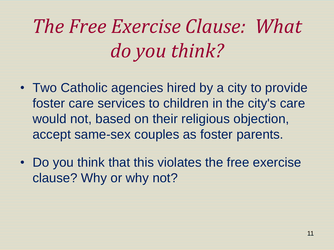# *The Free Exercise Clause: What do you think?*

- Two Catholic agencies hired by a city to provide foster care services to children in the city's care would not, based on their religious objection, accept same-sex couples as foster parents.
- Do you think that this violates the free exercise clause? Why or why not?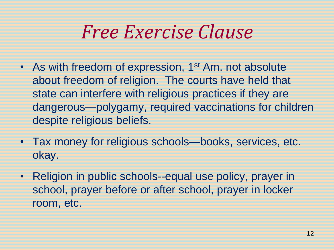#### *Free Exercise Clause*

- As with freedom of expression, 1<sup>st</sup> Am. not absolute about freedom of religion. The courts have held that state can interfere with religious practices if they are dangerous—polygamy, required vaccinations for children despite religious beliefs.
- Tax money for religious schools—books, services, etc. okay.
- Religion in public schools--equal use policy, prayer in school, prayer before or after school, prayer in locker room, etc.